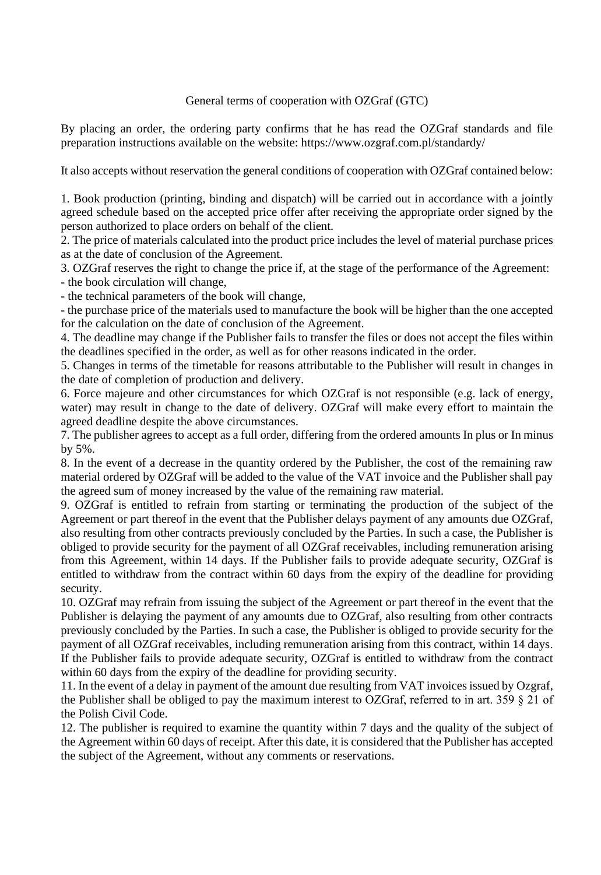## General terms of cooperation with OZGraf (GTC)

By placing an order, the ordering party confirms that he has read the OZGraf standards and file preparation instructions available on the website: https://www.ozgraf.com.pl/standardy/

It also accepts without reservation the general conditions of cooperation with OZGraf contained below:

1. Book production (printing, binding and dispatch) will be carried out in accordance with a jointly agreed schedule based on the accepted price offer after receiving the appropriate order signed by the person authorized to place orders on behalf of the client.

2. The price of materials calculated into the product price includes the level of material purchase prices as at the date of conclusion of the Agreement.

3. OZGraf reserves the right to change the price if, at the stage of the performance of the Agreement: - the book circulation will change,

- the technical parameters of the book will change,

- the purchase price of the materials used to manufacture the book will be higher than the one accepted for the calculation on the date of conclusion of the Agreement.

4. The deadline may change if the Publisher fails to transfer the files or does not accept the files within the deadlines specified in the order, as well as for other reasons indicated in the order.

5. Changes in terms of the timetable for reasons attributable to the Publisher will result in changes in the date of completion of production and delivery.

6. Force majeure and other circumstances for which OZGraf is not responsible (e.g. lack of energy, water) may result in change to the date of delivery. OZGraf will make every effort to maintain the agreed deadline despite the above circumstances.

7. The publisher agrees to accept as a full order, differing from the ordered amounts In plus or In minus by 5%.

8. In the event of a decrease in the quantity ordered by the Publisher, the cost of the remaining raw material ordered by OZGraf will be added to the value of the VAT invoice and the Publisher shall pay the agreed sum of money increased by the value of the remaining raw material.

9. OZGraf is entitled to refrain from starting or terminating the production of the subject of the Agreement or part thereof in the event that the Publisher delays payment of any amounts due OZGraf, also resulting from other contracts previously concluded by the Parties. In such a case, the Publisher is obliged to provide security for the payment of all OZGraf receivables, including remuneration arising from this Agreement, within 14 days. If the Publisher fails to provide adequate security, OZGraf is entitled to withdraw from the contract within 60 days from the expiry of the deadline for providing security.

10. OZGraf may refrain from issuing the subject of the Agreement or part thereof in the event that the Publisher is delaying the payment of any amounts due to OZGraf, also resulting from other contracts previously concluded by the Parties. In such a case, the Publisher is obliged to provide security for the payment of all OZGraf receivables, including remuneration arising from this contract, within 14 days. If the Publisher fails to provide adequate security, OZGraf is entitled to withdraw from the contract within 60 days from the expiry of the deadline for providing security.

11. In the event of a delay in payment of the amount due resulting from VAT invoices issued by Ozgraf, the Publisher shall be obliged to pay the maximum interest to OZGraf, referred to in art. 359 § 21 of the Polish Civil Code.

12. The publisher is required to examine the quantity within 7 days and the quality of the subject of the Agreement within 60 days of receipt. After this date, it is considered that the Publisher has accepted the subject of the Agreement, without any comments or reservations.